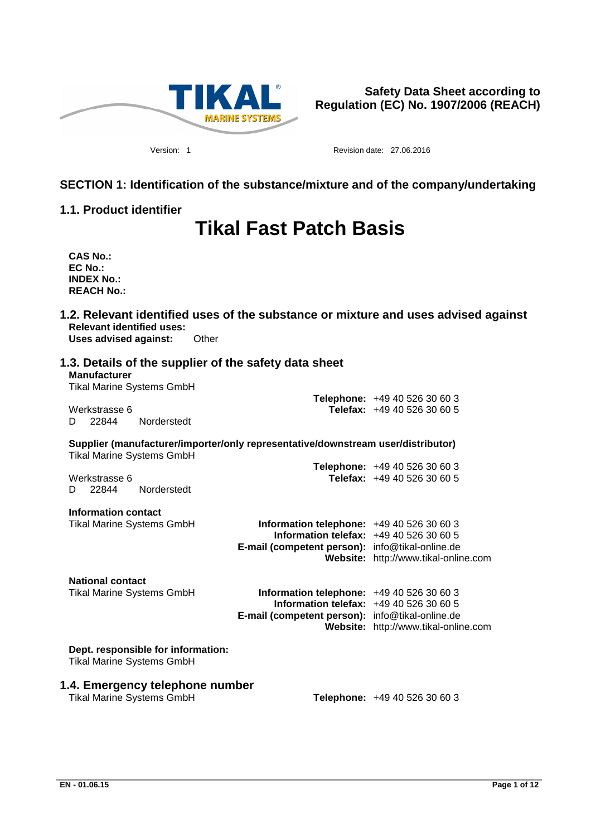

Version: 1 Revision date: 27.06.2016

# **SECTION 1: Identification of the substance/mixture and of the company/undertaking**

# **1.1. Product identifier**

# **Tikal Fast Patch Basis**

**CAS No.: EC No.: INDEX No.: REACH No.:**

**1.2. Relevant identified uses of the substance or mixture and uses advised against Relevant identified uses: Uses advised against:** Other

| 1.3. Details of the supplier of the safety data sheet<br><b>Manufacturer</b><br><b>Tikal Marine Systems GmbH</b>     |                                                                                                                                         |                                                              |
|----------------------------------------------------------------------------------------------------------------------|-----------------------------------------------------------------------------------------------------------------------------------------|--------------------------------------------------------------|
| Werkstrasse 6<br>22844<br>Norderstedt<br>D                                                                           |                                                                                                                                         | Telephone: +49 40 526 30 60 3<br>Telefax: +49 40 526 30 60 5 |
| Supplier (manufacturer/importer/only representative/downstream user/distributor)<br><b>Tikal Marine Systems GmbH</b> |                                                                                                                                         |                                                              |
| Werkstrasse 6<br>22844<br>Norderstedt<br>D.                                                                          |                                                                                                                                         | Telephone: +49 40 526 30 60 3<br>Telefax: +49 40 526 30 60 5 |
| Information contact<br><b>Tikal Marine Systems GmbH</b>                                                              | Information telephone: $+494052630603$<br>Information telefax: +49 40 526 30 60 5<br>E-mail (competent person): info@tikal-online.de    | Website: http://www.tikal-online.com                         |
| <b>National contact</b><br><b>Tikal Marine Systems GmbH</b>                                                          | Information telephone: +49 40 526 30 60 3<br>Information telefax: +49 40 526 30 60 5<br>E-mail (competent person): info@tikal-online.de | Website: http://www.tikal-online.com                         |
| Dept. responsible for information:<br><b>Tikal Marine Systems GmbH</b>                                               |                                                                                                                                         |                                                              |
| 1.4. Emergency telephone number<br><b>Tikal Marine Systems GmbH</b>                                                  |                                                                                                                                         | <b>Telephone: +49 40 526 30 60 3</b>                         |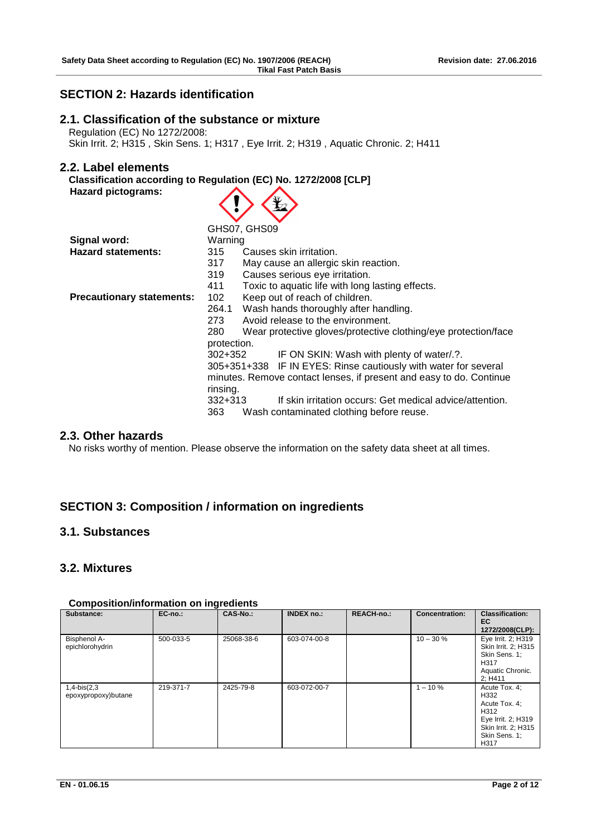# **SECTION 2: Hazards identification**

# **2.1. Classification of the substance or mixture**

 Regulation (EC) No 1272/2008: Skin Irrit. 2; H315 , Skin Sens. 1; H317 , Eye Irrit. 2; H319 , Aquatic Chronic. 2; H411

# **2.2. Label elements**

|                    | Classification according to Regulation (EC) No. 1272/2008 [CLP] |
|--------------------|-----------------------------------------------------------------|
| Hazard pictograms: | $\langle \cdot \rangle \langle \cdot \rangle$                   |

|                                  | GHS07, GHS09                                                          |
|----------------------------------|-----------------------------------------------------------------------|
| Signal word:                     | Warning                                                               |
| <b>Hazard statements:</b>        | 315<br>Causes skin irritation.                                        |
|                                  | 317<br>May cause an allergic skin reaction.                           |
|                                  | 319<br>Causes serious eye irritation.                                 |
|                                  | 411<br>Toxic to aquatic life with long lasting effects.               |
| <b>Precautionary statements:</b> | Keep out of reach of children.<br>102                                 |
|                                  | Wash hands thoroughly after handling.<br>264.1                        |
|                                  | Avoid release to the environment.<br>273                              |
|                                  | Wear protective gloves/protective clothing/eye protection/face<br>280 |
|                                  | protection.                                                           |
|                                  | IF ON SKIN: Wash with plenty of water/.?.<br>302+352                  |
|                                  | 305+351+338 IF IN EYES: Rinse cautiously with water for several       |
|                                  | minutes. Remove contact lenses, if present and easy to do. Continue   |
|                                  | rinsing.                                                              |
|                                  | If skin irritation occurs: Get medical advice/attention.<br>$332+313$ |
|                                  | 363<br>Wash contaminated clothing before reuse.                       |

# **2.3. Other hazards**

No risks worthy of mention. Please observe the information on the safety data sheet at all times.

# **SECTION 3: Composition / information on ingredients**

# **3.1. Substances**

# **3.2. Mixtures**

| Substance:                            | $EC-no.$ : | CAS-No.:   | <b>INDEX no.:</b> | <b>REACH-no.:</b> | <b>Concentration:</b> | <b>Classification:</b><br>EC.<br>1272/2008(CLP):                                                                     |
|---------------------------------------|------------|------------|-------------------|-------------------|-----------------------|----------------------------------------------------------------------------------------------------------------------|
| Bisphenol A-<br>epichlorohydrin       | 500-033-5  | 25068-38-6 | 603-074-00-8      |                   | $10 - 30 \%$          | Eye Irrit. 2; H319<br>Skin Irrit. 2: H315<br>Skin Sens. 1:<br>H317<br>Aquatic Chronic.<br>2; H411                    |
| $1,4-bis(2,3)$<br>epoxypropoxy)butane | 219-371-7  | 2425-79-8  | 603-072-00-7      |                   | $1 - 10 \%$           | Acute Tox. 4:<br>H332<br>Acute Tox. 4:<br>H312<br>Eye Irrit. 2; H319<br>Skin Irrit. 2; H315<br>Skin Sens. 1:<br>H317 |

### **Composition/information on ingredients**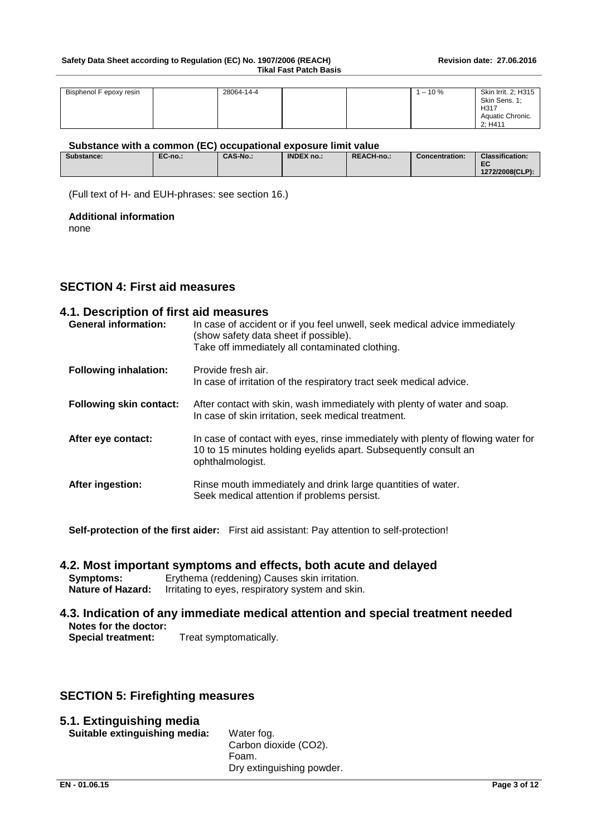#### Safety Data Sheet according to Regulation (EC) No. 1907/2006 (REACH) Revision date: 27.06.2016 **Tikal Fast Patch Basis**

| Bisphenol F epoxy resin | 28064-14-4 |  | $-10%$ | Skin Irrit. 2; H315 |
|-------------------------|------------|--|--------|---------------------|
|                         |            |  |        | Skin Sens. 1:       |
|                         |            |  |        | H317                |
|                         |            |  |        | Aquatic Chronic.    |
|                         |            |  |        | 2: H411             |

#### **Substance with a common (EC) occupational exposure limit value**

| Substance: | EC-no.: | <b>CAS-No.:</b> | <b>INDEX no.:</b> | REACH-no.: | <b>Concentration:</b> | <b>Classification:</b><br>ro-<br>cv<br>1272/2008(CLP): |
|------------|---------|-----------------|-------------------|------------|-----------------------|--------------------------------------------------------|
|            |         |                 |                   |            |                       |                                                        |

(Full text of H- and EUH-phrases: see section 16.)

#### **Additional information**

none

# **SECTION 4: First aid measures**

# **4.1. Description of first aid measures**

| <b>General information:</b>    | In case of accident or if you feel unwell, seek medical advice immediately<br>(show safety data sheet if possible).<br>Take off immediately all contaminated clothing.  |
|--------------------------------|-------------------------------------------------------------------------------------------------------------------------------------------------------------------------|
| <b>Following inhalation:</b>   | Provide fresh air.<br>In case of irritation of the respiratory tract seek medical advice.                                                                               |
| <b>Following skin contact:</b> | After contact with skin, wash immediately with plenty of water and soap.<br>In case of skin irritation, seek medical treatment.                                         |
| After eye contact:             | In case of contact with eyes, rinse immediately with plenty of flowing water for<br>10 to 15 minutes holding eyelids apart. Subsequently consult an<br>ophthalmologist. |
| After ingestion:               | Rinse mouth immediately and drink large quantities of water.<br>Seek medical attention if problems persist.                                                             |

**Self-protection of the first aider:** First aid assistant: Pay attention to self-protection!

### **4.2. Most important symptoms and effects, both acute and delayed**

**Symptoms:** Erythema (reddening) Causes skin irritation.<br>**Nature of Hazard:** Irritating to eyes, respiratory system and skin **Irritating to eyes, respiratory system and skin.** 

# **4.3. Indication of any immediate medical attention and special treatment needed Notes for the doctor:**

**Special treatment:** Treat symptomatically.

# **SECTION 5: Firefighting measures**

# **5.1. Extinguishing media**

**Suitable extinguishing media:** Water fog.

Carbon dioxide (CO2). Foam. Dry extinguishing powder.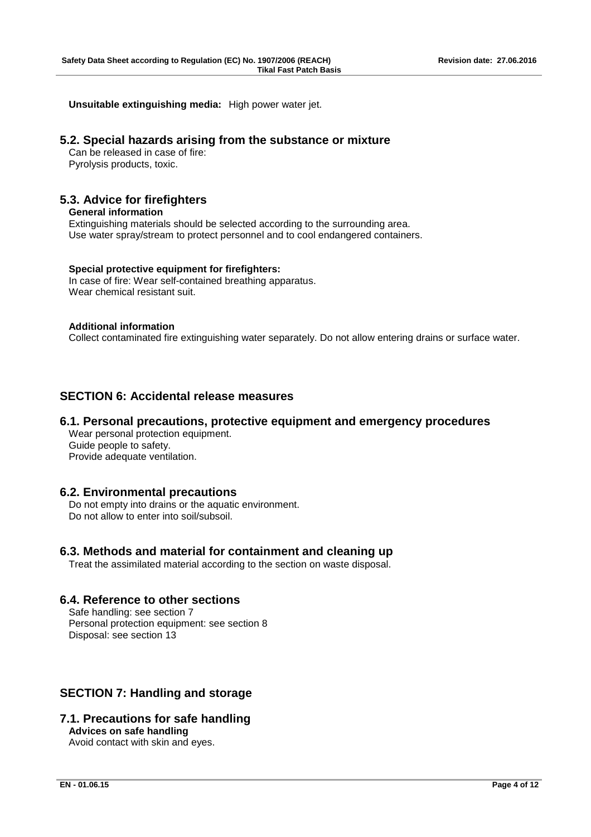**Unsuitable extinguishing media:** High power water jet.

### **5.2. Special hazards arising from the substance or mixture**

 Can be released in case of fire: Pyrolysis products, toxic.

# **5.3. Advice for firefighters**

**General information** Extinguishing materials should be selected according to the surrounding area. Use water spray/stream to protect personnel and to cool endangered containers.

### **Special protective equipment for firefighters:**

 In case of fire: Wear self-contained breathing apparatus. Wear chemical resistant suit.

### **Additional information**

Collect contaminated fire extinguishing water separately. Do not allow entering drains or surface water.

# **SECTION 6: Accidental release measures**

# **6.1. Personal precautions, protective equipment and emergency procedures**

 Wear personal protection equipment. Guide people to safety. Provide adequate ventilation.

### **6.2. Environmental precautions**

 Do not empty into drains or the aquatic environment. Do not allow to enter into soil/subsoil.

# **6.3. Methods and material for containment and cleaning up**

Treat the assimilated material according to the section on waste disposal.

# **6.4. Reference to other sections**

 Safe handling: see section 7 Personal protection equipment: see section 8 Disposal: see section 13

# **SECTION 7: Handling and storage**

# **7.1. Precautions for safe handling Advices on safe handling**

Avoid contact with skin and eyes.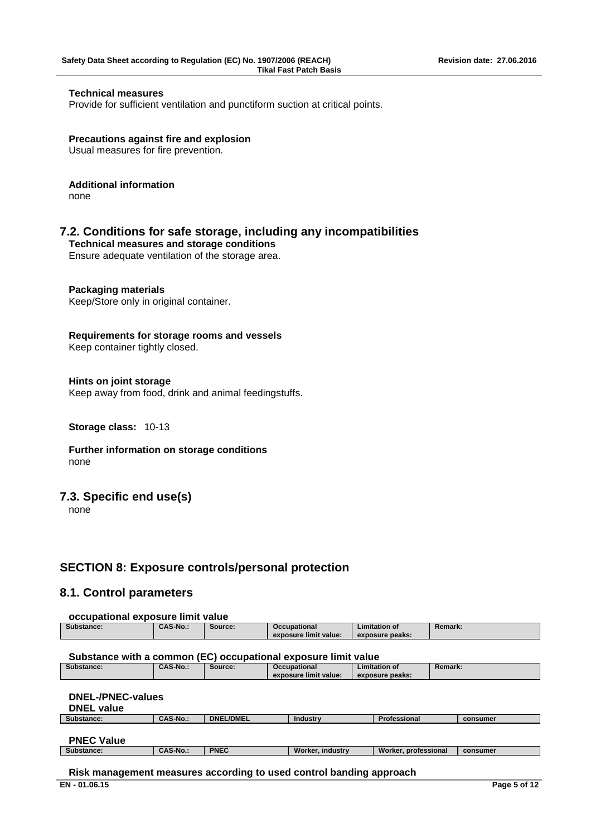### **Technical measures**

Provide for sufficient ventilation and punctiform suction at critical points.

**Precautions against fire and explosion** Usual measures for fire prevention.

### **Additional information**

none

### **7.2. Conditions for safe storage, including any incompatibilities**

**Technical measures and storage conditions**

Ensure adequate ventilation of the storage area.

# **Packaging materials**

Keep/Store only in original container.

**Requirements for storage rooms and vessels**

Keep container tightly closed.

#### **Hints on joint storage**

Keep away from food, drink and animal feedingstuffs.

#### **Storage class:** 10-13

**Further information on storage conditions** none

### **7.3. Specific end use(s)**

none

# **SECTION 8: Exposure controls/personal protection**

# **8.1. Control parameters**

#### **occupational exposure limit value**

| Substance: | CAS-No | Source: | Occupational              | Limitation of   | <b>Remark:</b> |
|------------|--------|---------|---------------------------|-----------------|----------------|
|            |        |         | <br>exposure limit value: | exposure peaks: |                |

#### **Substance with a common (EC) occupational exposure limit value**

| Substance: | <b>CAS-No.:</b> | Source: | <b>Occupational</b><br>exposure limit value: | Limitation of<br>exposure peaks: | <b>Remark:</b> |
|------------|-----------------|---------|----------------------------------------------|----------------------------------|----------------|
|            |                 |         |                                              |                                  |                |

#### **DNEL-/PNEC-values DNEL value**

| <b>DIVLL VAIUT</b> |                 |                  |                 |                     |          |
|--------------------|-----------------|------------------|-----------------|---------------------|----------|
| Substance:         | <b>CAS-No.:</b> | <b>DNEL/DMEL</b> | <b>Industry</b> | <b>Professional</b> | consumer |
|                    |                 |                  |                 |                     |          |
| <b>PNFC Value</b>  |                 |                  |                 |                     |          |

| .<br>.     |                |      |                       |                            |          |
|------------|----------------|------|-----------------------|----------------------------|----------|
| Substance: | CAS-N<br>™-No… | PNEC | Worker.<br>. industrv | Worker.<br>r. professional | consumer |
|            |                |      |                       |                            |          |

### **Risk management measures according to used control banding approach**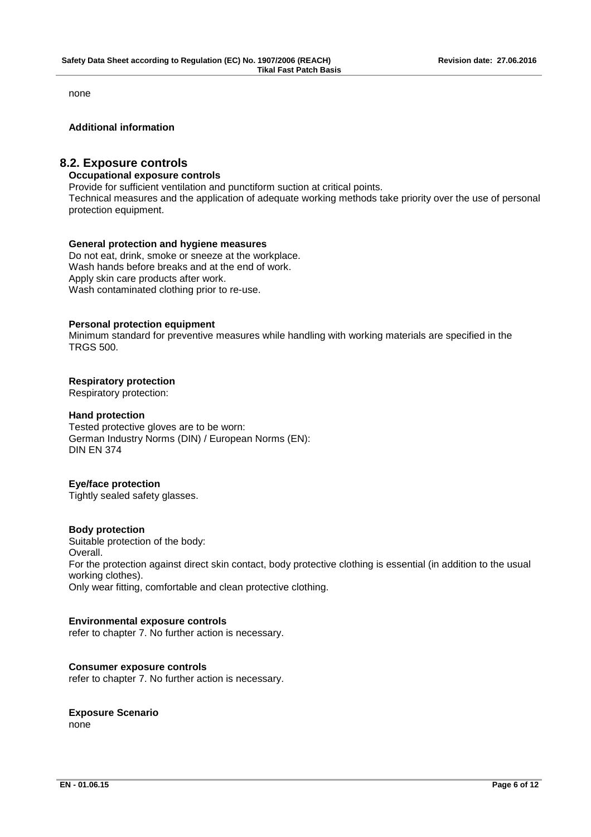none

#### **Additional information**

### **8.2. Exposure controls**

#### **Occupational exposure controls**

Provide for sufficient ventilation and punctiform suction at critical points.

Technical measures and the application of adequate working methods take priority over the use of personal protection equipment.

#### **General protection and hygiene measures**

 Do not eat, drink, smoke or sneeze at the workplace. Wash hands before breaks and at the end of work. Apply skin care products after work. Wash contaminated clothing prior to re-use.

#### **Personal protection equipment**

 Minimum standard for preventive measures while handling with working materials are specified in the TRGS 500.

#### **Respiratory protection**

Respiratory protection:

#### **Hand protection**

 Tested protective gloves are to be worn: German Industry Norms (DIN) / European Norms (EN): DIN EN 374

#### **Eye/face protection**

Tightly sealed safety glasses.

#### **Body protection**

 Suitable protection of the body: Overall. For the protection against direct skin contact, body protective clothing is essential (in addition to the usual working clothes). Only wear fitting, comfortable and clean protective clothing.

### **Environmental exposure controls**

refer to chapter 7. No further action is necessary.

#### **Consumer exposure controls**

refer to chapter 7. No further action is necessary.

#### **Exposure Scenario**

none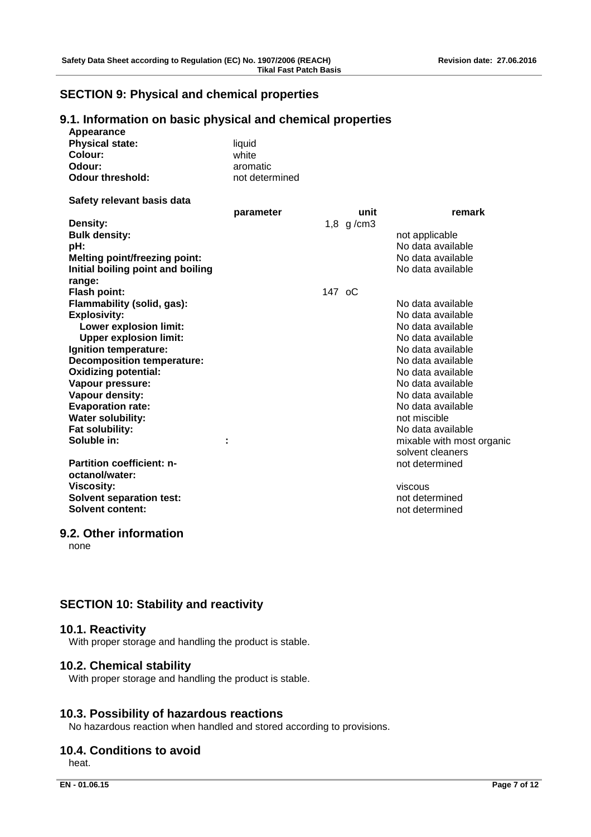# **SECTION 9: Physical and chemical properties**

# **9.1. Information on basic physical and chemical properties**

| Appearance                           |                |             |                           |
|--------------------------------------|----------------|-------------|---------------------------|
| <b>Physical state:</b>               | liquid         |             |                           |
| Colour:                              | white          |             |                           |
| Odour:                               | aromatic       |             |                           |
| <b>Odour threshold:</b>              | not determined |             |                           |
| Safety relevant basis data           |                |             |                           |
|                                      | parameter      | unit        | remark                    |
| Density:                             |                | $1,8$ g/cm3 |                           |
| <b>Bulk density:</b>                 |                |             | not applicable            |
| pH:                                  |                |             | No data available         |
| <b>Melting point/freezing point:</b> |                |             | No data available         |
| Initial boiling point and boiling    |                |             | No data available         |
| range:                               |                |             |                           |
| <b>Flash point:</b>                  |                | 147 oC      |                           |
| Flammability (solid, gas):           |                |             | No data available         |
| <b>Explosivity:</b>                  |                |             | No data available         |
| <b>Lower explosion limit:</b>        |                |             | No data available         |
| <b>Upper explosion limit:</b>        |                |             | No data available         |
| Ignition temperature:                |                |             | No data available         |
| <b>Decomposition temperature:</b>    |                |             | No data available         |
| <b>Oxidizing potential:</b>          |                |             | No data available         |
| Vapour pressure:                     |                |             | No data available         |
| Vapour density:                      |                |             | No data available         |
| <b>Evaporation rate:</b>             |                |             | No data available         |
| <b>Water solubility:</b>             |                |             | not miscible              |
| Fat solubility:                      |                |             | No data available         |
| Soluble in:                          | ÷              |             | mixable with most organic |
|                                      |                |             | solvent cleaners          |
| <b>Partition coefficient: n-</b>     |                |             | not determined            |
| octanol/water:                       |                |             |                           |
| <b>Viscosity:</b>                    |                |             | viscous                   |
| <b>Solvent separation test:</b>      |                |             | not determined            |
| Solvent content:                     |                |             | not determined            |
|                                      |                |             |                           |

#### **9.2. Other information**

none

# **SECTION 10: Stability and reactivity**

### **10.1. Reactivity**

With proper storage and handling the product is stable.

### **10.2. Chemical stability**

With proper storage and handling the product is stable.

# **10.3. Possibility of hazardous reactions**

No hazardous reaction when handled and stored according to provisions.

# **10.4. Conditions to avoid**

heat.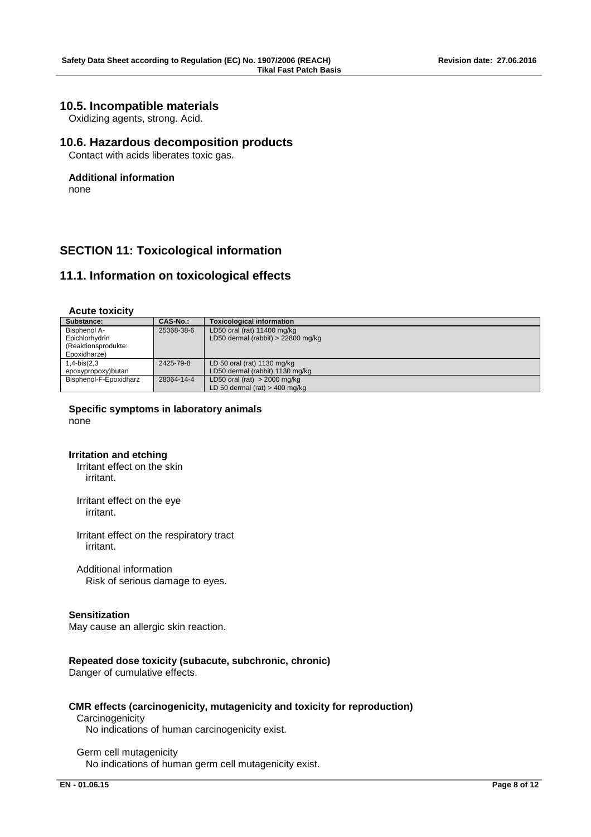### **10.5. Incompatible materials**

Oxidizing agents, strong. Acid.

### **10.6. Hazardous decomposition products**

Contact with acids liberates toxic gas.

#### **Additional information**

none

# **SECTION 11: Toxicological information**

### **11.1. Information on toxicological effects**

#### **Acute toxicity**

| Substance:             | CAS-No.:   | <b>Toxicological information</b>     |
|------------------------|------------|--------------------------------------|
| Bisphenol A-           | 25068-38-6 | LD50 oral (rat) 11400 mg/kg          |
| Epichlorhydrin         |            | LD50 dermal (rabbit) $> 22800$ mg/kg |
| (Reaktionsprodukte:    |            |                                      |
| Epoxidharze)           |            |                                      |
| $1,4-bis(2,3)$         | 2425-79-8  | LD 50 oral (rat) $1130$ mg/kg        |
| epoxypropoxy)butan     |            | LD50 dermal (rabbit) 1130 mg/kg      |
| Bisphenol-F-Epoxidharz | 28064-14-4 | LD50 oral (rat) $>$ 2000 mg/kg       |
|                        |            | LD 50 dermal (rat) $>$ 400 mg/kg     |

#### **Specific symptoms in laboratory animals** none

#### **Irritation and etching**

Irritant effect on the skin irritant.

Irritant effect on the eye irritant.

Irritant effect on the respiratory tract irritant.

Additional information Risk of serious damage to eyes.

#### **Sensitization**

May cause an allergic skin reaction.

#### **Repeated dose toxicity (subacute, subchronic, chronic)**

Danger of cumulative effects.

### **CMR effects (carcinogenicity, mutagenicity and toxicity for reproduction)**

# **Carcinogenicity**

No indications of human carcinogenicity exist.

#### Germ cell mutagenicity No indications of human germ cell mutagenicity exist.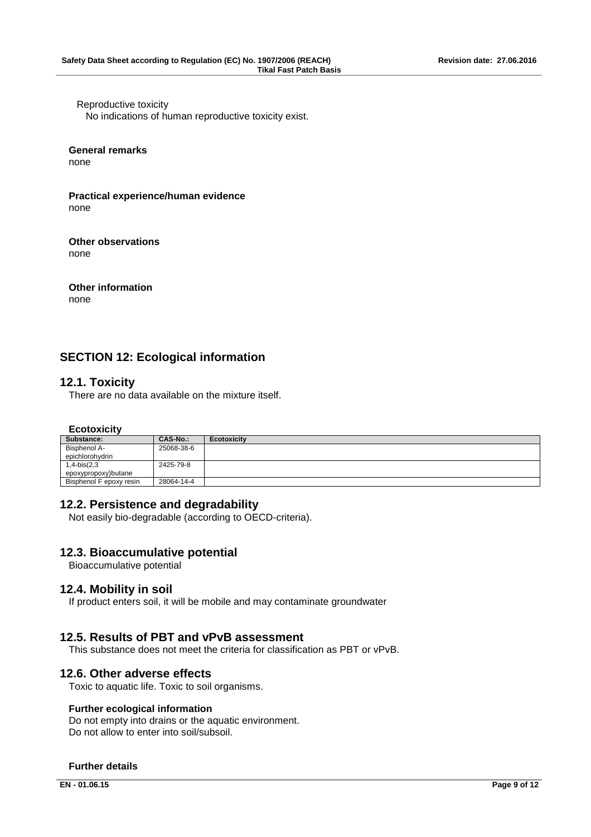Reproductive toxicity No indications of human reproductive toxicity exist.

#### **General remarks**

none

#### **Practical experience/human evidence** none

**Other observations** none

# **Other information**

none

# **SECTION 12: Ecological information**

# **12.1. Toxicity**

There are no data available on the mixture itself.

### **Ecotoxicity**

| Substance:              | CAS-No.:   | <b>Ecotoxicity</b> |
|-------------------------|------------|--------------------|
| Bisphenol A-            | 25068-38-6 |                    |
| epichlorohydrin         |            |                    |
| $1,4-bis(2,3)$          | 2425-79-8  |                    |
| epoxypropoxy)butane     |            |                    |
| Bisphenol F epoxy resin | 28064-14-4 |                    |

### **12.2. Persistence and degradability**

Not easily bio-degradable (according to OECD-criteria).

# **12.3. Bioaccumulative potential**

Bioaccumulative potential

### **12.4. Mobility in soil**

If product enters soil, it will be mobile and may contaminate groundwater

# **12.5. Results of PBT and vPvB assessment**

This substance does not meet the criteria for classification as PBT or vPvB.

### **12.6. Other adverse effects**

Toxic to aquatic life. Toxic to soil organisms.

### **Further ecological information**

 Do not empty into drains or the aquatic environment. Do not allow to enter into soil/subsoil.

### **Further details**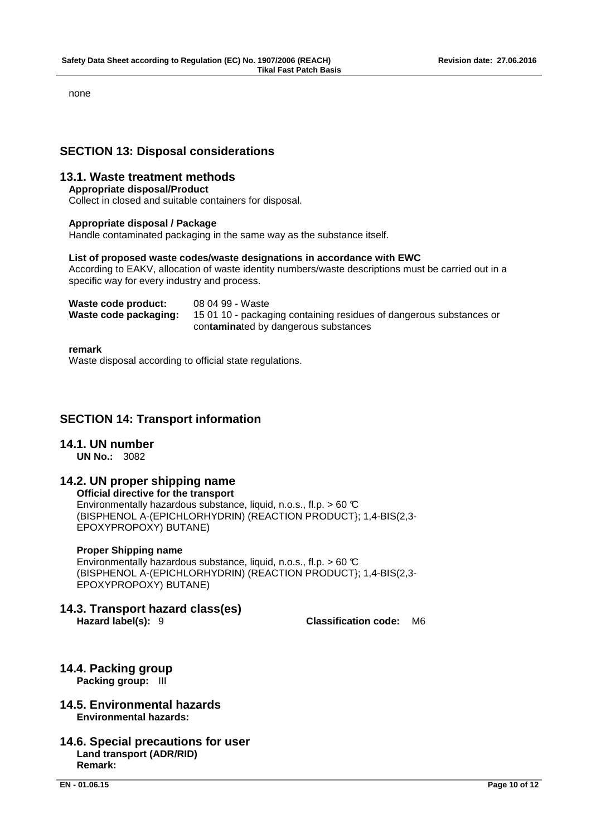none

# **SECTION 13: Disposal considerations**

# **13.1. Waste treatment methods**

### **Appropriate disposal/Product**

Collect in closed and suitable containers for disposal.

### **Appropriate disposal / Package**

Handle contaminated packaging in the same way as the substance itself.

### **List of proposed waste codes/waste designations in accordance with EWC**

 According to EAKV, allocation of waste identity numbers/waste descriptions must be carried out in a specific way for every industry and process.

| Waste code product:   | 08 04 99 - Waste                                                    |
|-----------------------|---------------------------------------------------------------------|
| Waste code packaging: | 15 01 10 - packaging containing residues of dangerous substances or |
|                       | contaminated by dangerous substances                                |

#### **remark**

Waste disposal according to official state regulations.

# **SECTION 14: Transport information**

### **14.1. UN number**

**UN No.:** 3082

### **14.2. UN proper shipping name**

**Official directive for the transport** Environmentally hazardous substance, liquid, n.o.s., fl.p.  $> 60 \text{ C}$ (BISPHENOL A-(EPICHLORHYDRIN) (REACTION PRODUCT}; 1,4-BIS(2,3- EPOXYPROPOXY) BUTANE)

#### **Proper Shipping name**

Environmentally hazardous substance, liquid, n.o.s., fl.p.  $> 60 \text{ C}$ (BISPHENOL A-(EPICHLORHYDRIN) (REACTION PRODUCT}; 1,4-BIS(2,3- EPOXYPROPOXY) BUTANE)

**14.3. Transport hazard class(es)**

**Hazard label(s):** 9 **Classification code:** M6

- **14.4. Packing group Packing group:** III
- **14.5. Environmental hazards Environmental hazards:**
- **14.6. Special precautions for user Land transport (ADR/RID) Remark:**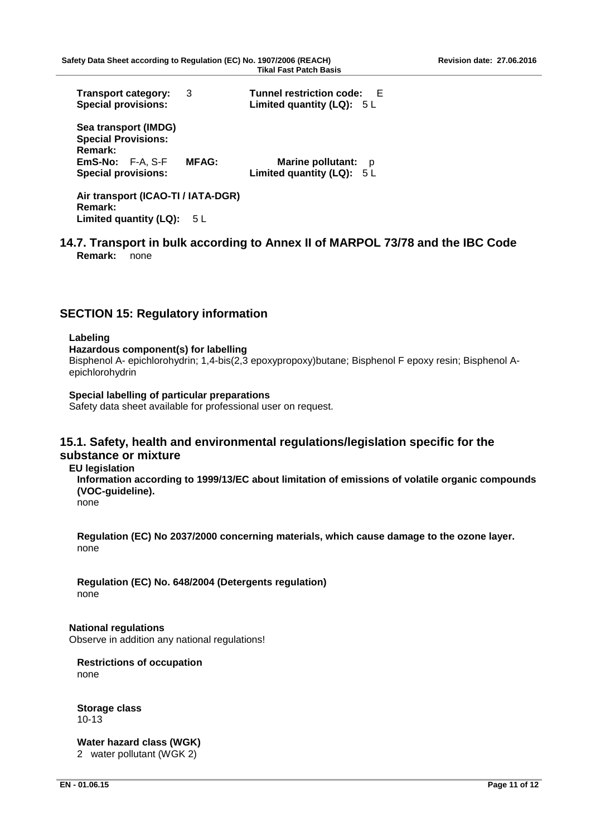| <b>Transport category:</b><br><b>Special provisions:</b>                                                          | 3            | <b>Tunnel restriction code:</b><br>F.<br>Limited quantity (LQ): $5 L$ |
|-------------------------------------------------------------------------------------------------------------------|--------------|-----------------------------------------------------------------------|
| Sea transport (IMDG)<br><b>Special Provisions:</b><br>Remark:<br>$EmS-No: F-A, S-F$<br><b>Special provisions:</b> | <b>MFAG:</b> | <b>Marine pollutant:</b><br>D<br>Limited quantity (LQ): $5 L$         |

**Air transport (ICAO-TI / IATA-DGR) Remark:** Limited quantity (LQ): 5 L

**14.7. Transport in bulk according to Annex II of MARPOL 73/78 and the IBC Code Remark:** none

# **SECTION 15: Regulatory information**

#### **Labeling**

**Hazardous component(s) for labelling**

 Bisphenol A- epichlorohydrin; 1,4-bis(2,3 epoxypropoxy)butane; Bisphenol F epoxy resin; Bisphenol Aepichlorohydrin

**Special labelling of particular preparations** Safety data sheet available for professional user on request.

### **15.1. Safety, health and environmental regulations/legislation specific for the substance or mixture**

#### **EU legislation**

**Information according to 1999/13/EC about limitation of emissions of volatile organic compounds (VOC-guideline).** 

none

**Regulation (EC) No 2037/2000 concerning materials, which cause damage to the ozone layer.** none

**Regulation (EC) No. 648/2004 (Detergents regulation)** none

**National regulations** Observe in addition any national regulations!

**Restrictions of occupation**

none

**Storage class** 10-13

**Water hazard class (WGK)** 2 water pollutant (WGK 2)